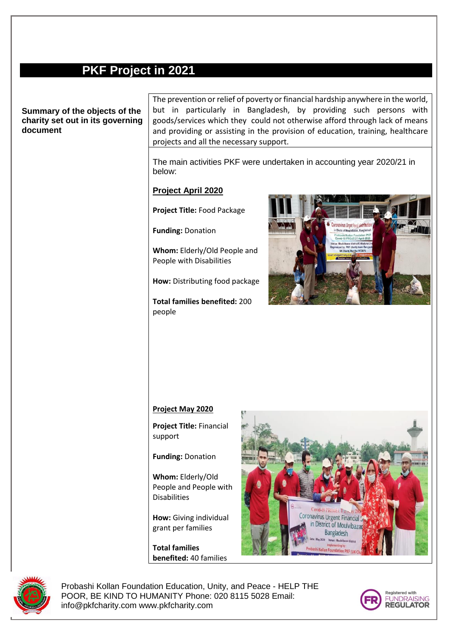# **PKF Project in 2021**

# **Summary of the objects of the charity set out in its governing document**

The prevention or relief of poverty or financial hardship anywhere in the world, but in particularly in Bangladesh, by providing such persons with goods/services which they could not otherwise afford through lack of means and providing or assisting in the provision of education, training, healthcare projects and all the necessary support.

The main activities PKF were undertaken in accounting year 2020/21 in below:

## **Project April 2020**

**Project Title:** Food Package

**Funding:** Donation

**Whom:** Elderly/Old People and People with Disabilities

**How:** Distributing food package

**Total families benefited:** 200 people



#### **Project May 2020**

**Project Title:** Financial support

**Funding:** Donation

**Whom:** Elderly/Old People and People with Disabilities

**How:** Giving individual grant per families

**Total families benefited:** 40 families





Probashi Kollan Foundation Education, Unity, and Peace - HELP THE POOR, BE KIND TO HUMANITY Phone: 020 8115 5028 Email: info@pkfcharity.com www.pkfcharity.com